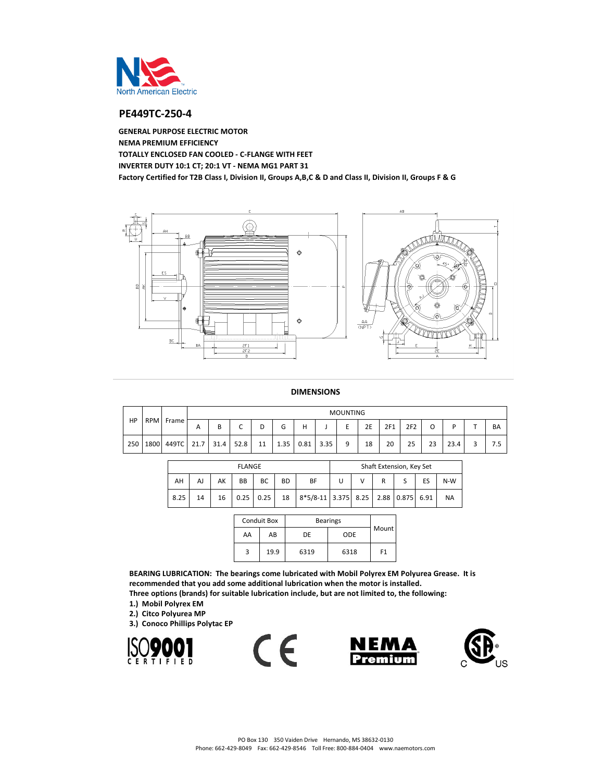

# **PE449TC-250-4**

**GENERAL PURPOSE ELECTRIC MOTOR NEMA PREMIUM EFFICIENCY TOTALLY ENCLOSED FAN COOLED - C-FLANGE WITH FEET INVERTER DUTY 10:1 CT; 20:1 VT - NEMA MG1 PART 31 Factory Certified for T2B Class I, Division II, Groups A,B,C & D and Class II, Division II, Groups F & G**



#### **DIMENSIONS**

| HP  | RPM Frame  |      | <b>MOUNTING</b> |                               |    |      |      |      |   |    |     |                 |    |      |    |           |
|-----|------------|------|-----------------|-------------------------------|----|------|------|------|---|----|-----|-----------------|----|------|----|-----------|
|     |            | A    | B               | $\overline{\phantom{0}}$<br>◡ | ◡  | ∽    | Н    |      | ∽ | 2E | 2F1 | 2F <sub>2</sub> | Ο  | D    |    | <b>BA</b> |
| 250 | 1800 449TC | 21.7 | 31.4            | 52.8                          | 11 | 1.35 | 0.81 | 3.35 | a | 18 | 20  | 25              | 23 | 23.4 | ×. | 7.5       |

|      |    |    | <b>FLANGE</b> |               | Shaft Extension, Key Set |                                     |  |   |  |  |    |           |
|------|----|----|---------------|---------------|--------------------------|-------------------------------------|--|---|--|--|----|-----------|
| AH   | AJ | AK | <b>BB</b>     | BС            | <b>BD</b>                | BF                                  |  | v |  |  | ES | $N-W$     |
| 8.25 | 14 | 16 |               | $0.25 \ 0.25$ | 18                       | 8*5/8-11 3.375 8.25 2.88 0.875 6.91 |  |   |  |  |    | <b>NA</b> |

|    | <b>Conduit Box</b> | <b>Bearings</b> |            |                |  |  |
|----|--------------------|-----------------|------------|----------------|--|--|
| AA | AB                 | DE              | <b>ODE</b> | Mount          |  |  |
| 3  | 19.9               | 6319            | 6318       | F <sub>1</sub> |  |  |

**BEARING LUBRICATION: The bearings come lubricated with Mobil Polyrex EM Polyurea Grease. It is recommended that you add some additional lubrication when the motor is installed. Three options (brands) for suitable lubrication include, but are not limited to, the following:**

 $\epsilon$ 

- **1.) Mobil Polyrex EM**
- **2.) Citco Polyurea MP**
- **3.) Conoco Phillips Polytac EP**